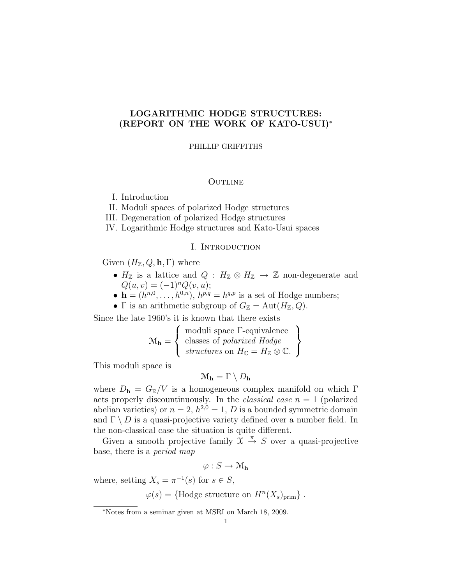# LOGARITHMIC HODGE STRUCTURES: (REPORT ON THE WORK OF KATO-USUI)<sup>∗</sup>

#### PHILLIP GRIFFITHS

## **OUTLINE**

I. Introduction

II. Moduli spaces of polarized Hodge structures

III. Degeneration of polarized Hodge structures

IV. Logarithmic Hodge structures and Kato-Usui spaces

### I. Introduction

Given  $(H_{\mathbb{Z}}, Q, \mathbf{h}, \Gamma)$  where

- $H_{\mathbb{Z}}$  is a lattice and  $Q : H_{\mathbb{Z}} \otimes H_{\mathbb{Z}} \to \mathbb{Z}$  non-degenerate and  $Q(u, v) = (-1)^n Q(v, u);$
- $\mathbf{h} = (h^{n,0}, \dots, h^{0,n}), h^{p,q} = h^{q,p}$  is a set of Hodge numbers;

• Γ is an arithmetic subgroup of  $G_{\mathbb{Z}} = \text{Aut}(H_{\mathbb{Z}}, Q)$ .

Since the late 1960's it is known that there exists

$$
\mathcal{M}_{\mathbf{h}} = \left\{ \begin{array}{c} \text{moduli space } \Gamma \text{-equivalence} \\ \text{classes of polarized Hodge} \\ \text{structures on } H_{\mathbb{C}} = H_{\mathbb{Z}} \otimes \mathbb{C}. \end{array} \right\}
$$

This moduli space is

$$
\mathfrak{M}_\mathbf{h} = \Gamma \setminus D_\mathbf{h}
$$

where  $D_{\bf h} = G_{\mathbb{R}}/V$  is a homogeneous complex manifold on which  $\Gamma$ acts properly discountinuously. In the *classical case*  $n = 1$  (polarized abelian varieties) or  $n = 2$ ,  $h^{2,0} = 1$ , D is a bounded symmetric domain and  $\Gamma \setminus D$  is a quasi-projective variety defined over a number field. In the non-classical case the situation is quite different.

Given a smooth projective family  $\mathfrak{X} \stackrel{\pi}{\rightarrow} S$  over a quasi-projective base, there is a period map

$$
\varphi : S \to \mathcal{M}_h
$$

where, setting  $X_s = \pi^{-1}(s)$  for  $s \in S$ ,

 $\varphi(s) = \{\text{Hodge structure on } H^n(X_s)_{\text{prim}}\}.$ 

<sup>∗</sup>Notes from a seminar given at MSRI on March 18, 2009.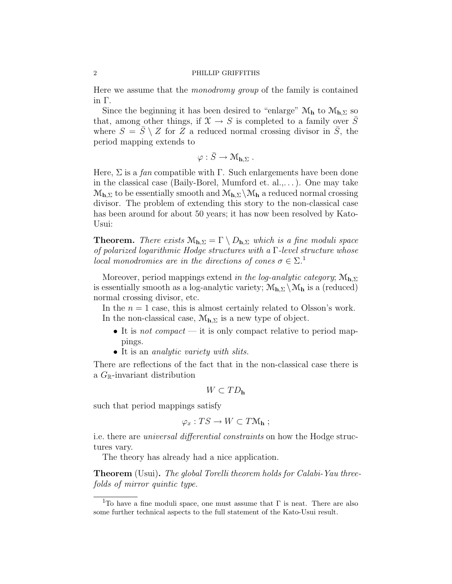Here we assume that the monodromy group of the family is contained in Γ.

Since the beginning it has been desired to "enlarge"  $\mathcal{M}_{h}$  to  $\mathcal{M}_{h,\Sigma}$  so that, among other things, if  $\mathfrak{X} \to S$  is completed to a family over  $\overline{S}$ where  $S = \overline{S} \setminus Z$  for Z a reduced normal crossing divisor in S, the period mapping extends to

$$
\varphi: \bar{S} \to \mathcal{M}_{\mathbf{h},\Sigma} .
$$

Here,  $\Sigma$  is a *fan* compatible with  $\Gamma$ . Such enlargements have been done in the classical case (Baily-Borel, Mumford et. al.,. . . ). One may take  $\mathcal{M}_{h,\Sigma}$  to be essentially smooth and  $\mathcal{M}_{h,\Sigma}\backslash\mathcal{M}_h$  a reduced normal crossing divisor. The problem of extending this story to the non-classical case has been around for about 50 years; it has now been resolved by Kato-Usui:

**Theorem.** There exists  $M_{h,\Sigma} = \Gamma \setminus D_{h,\Sigma}$  which is a fine moduli space of polarized logarithmic Hodge structures with a Γ-level structure whose local monodromies are in the directions of cones  $\sigma \in \Sigma$ .<sup>1</sup>

Moreover, period mappings extend in the log-analytic category;  $M_{h,\Sigma}$ is essentially smooth as a log-analytic variety;  $\mathcal{M}_{h,\Sigma} \setminus \mathcal{M}_h$  is a (reduced) normal crossing divisor, etc.

In the  $n = 1$  case, this is almost certainly related to Olsson's work. In the non-classical case,  $\mathcal{M}_{h,\Sigma}$  is a new type of object.

- It is not compact it is only compact relative to period mappings.
- It is an *analytic variety with slits*.

There are reflections of the fact that in the non-classical case there is a  $G_{\mathbb{R}}$ -invariant distribution

$$
W\subset TD_{\bf h}
$$

such that period mappings satisfy

$$
\varphi_x: TS \to W \subset T\mathcal{M}_\mathbf{h} ;
$$

i.e. there are universal differential constraints on how the Hodge structures vary.

The theory has already had a nice application.

Theorem (Usui). The global Torelli theorem holds for Calabi-Yau threefolds of mirror quintic type.

<sup>&</sup>lt;sup>1</sup>To have a fine moduli space, one must assume that  $\Gamma$  is neat. There are also some further technical aspects to the full statement of the Kato-Usui result.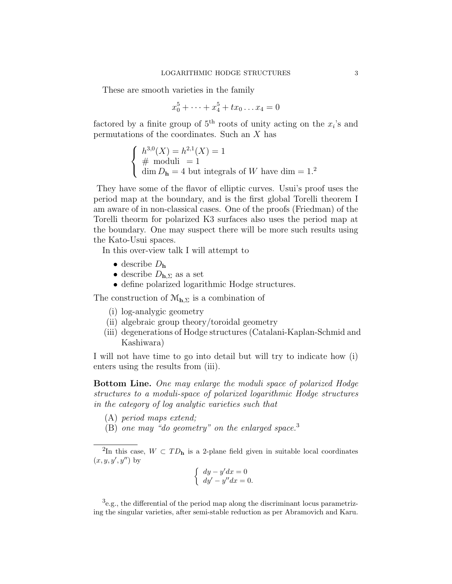These are smooth varieties in the family

$$
x_0^5 + \dots + x_4^5 + tx_0 \dots x_4 = 0
$$

factored by a finite group of  $5<sup>th</sup>$  roots of unity acting on the  $x<sub>i</sub>$ 's and permutations of the coordinates. Such an X has

$$
\begin{cases}\nh^{3,0}(X) = h^{2,1}(X) = 1 \\
\# \text{ moduli } = 1 \\
\dim D_{\mathbf{h}} = 4 \text{ but integrals of } W \text{ have } \dim = 1.\n\end{cases}
$$

They have some of the flavor of elliptic curves. Usui's proof uses the period map at the boundary, and is the first global Torelli theorem I am aware of in non-classical cases. One of the proofs (Friedman) of the Torelli theorm for polarized K3 surfaces also uses the period map at the boundary. One may suspect there will be more such results using the Kato-Usui spaces.

In this over-view talk I will attempt to

- describe  $D_{\bf h}$
- describe  $D_{h,\Sigma}$  as a set
- define polarized logarithmic Hodge structures.

The construction of  $\mathcal{M}_{h,\Sigma}$  is a combination of

- (i) log-analygic geometry
- (ii) algebraic group theory/toroidal geometry
- (iii) degenerations of Hodge structures (Catalani-Kaplan-Schmid and Kashiwara)

I will not have time to go into detail but will try to indicate how (i) enters using the results from (iii).

Bottom Line. One may enlarge the moduli space of polarized Hodge structures to a moduli-space of polarized logarithmic Hodge structures in the category of log analytic varieties such that

- (A) period maps extend;
- (B) one may "do geometry" on the enlarged space.<sup>3</sup>

$$
\begin{cases} dy - y'dx = 0\\ dy' - y''dx = 0. \end{cases}
$$

<sup>&</sup>lt;sup>2</sup>In this case,  $W \subset TD_{h}$  is a 2-plane field given in suitable local coordinates  $(x, y, y', y'')$  by

<sup>&</sup>lt;sup>3</sup>e.g., the differential of the period map along the discriminant locus parametrizing the singular varieties, after semi-stable reduction as per Abramovich and Karu.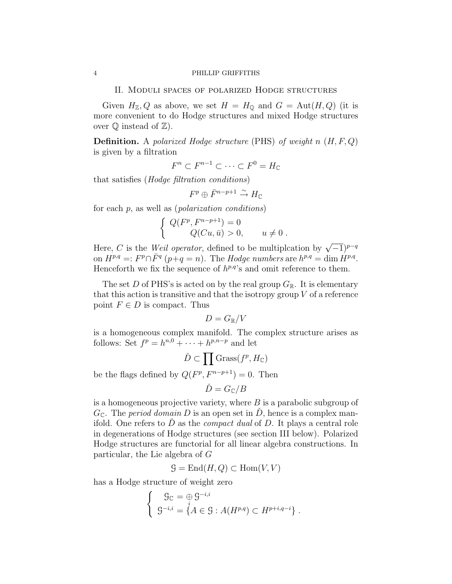II. Moduli spaces of polarized Hodge structures

Given  $H_{\mathbb{Z}}$ , Q as above, we set  $H = H_0$  and  $G = Aut(H, Q)$  (it is more convenient to do Hodge structures and mixed Hodge structures over  $\mathbb Q$  instead of  $\mathbb Z$ ).

**Definition.** A polarized Hodge structure (PHS) of weight n  $(H, F, Q)$ is given by a filtration

$$
F^n \subset F^{n-1} \subset \cdots \subset F^0 = H_{\mathbb{C}}
$$

that satisfies (Hodge filtration conditions)

$$
F^p\oplus \bar F^{n-p+1} \xrightarrow{\sim} H_{\mathbb C}
$$

for each  $p$ , as well as (*polarization conditions*)

$$
\begin{cases}\nQ(F^p, F^{n-p+1}) = 0 \\
Q(Cu, \bar{u}) > 0, \quad u \neq 0.\n\end{cases}
$$

Here, C is the Weil operator, defined to be multiplcation by  $\sqrt{-1}$ <sup>p-q</sup> on  $H^{p,q} =: F^p \cap \bar{F}^q \ (p+q=n)$ . The Hodge numbers are  $h^{p,q} = \dim \hat{H}^{p,q}$ . Henceforth we fix the sequence of  $h^{p,q}$ 's and omit reference to them.

The set D of PHS's is acted on by the real group  $G_{\mathbb{R}}$ . It is elementary that this action is transitive and that the isotropy group  $V$  of a reference point  $F \in D$  is compact. Thus

$$
D=G_{\mathbb{R}}/V
$$

is a homogeneous complex manifold. The complex structure arises as follows: Set  $f^p = h^{n,0} + \cdots + h^{p,n-p}$  and let

$$
\check{D} \subset \prod \mathrm{Grass}(f^p, H_{\mathbb{C}})
$$

be the flags defined by  $Q(F^p, F^{n-p+1}) = 0$ . Then

$$
\check{D}=G_{\mathbb{C}}/B
$$

is a homogeneous projective variety, where  $B$  is a parabolic subgroup of  $G_{\mathbb{C}}$ . The *period domain* D is an open set in D, hence is a complex manifold. One refers to  $\overline{D}$  as the *compact dual* of  $\overline{D}$ . It plays a central role in degenerations of Hodge structures (see section III below). Polarized Hodge structures are functorial for all linear algebra constructions. In particular, the Lie algebra of G

 $\mathcal{G} = \text{End}(H, Q) \subset \text{Hom}(V, V)$ 

has a Hodge structure of weight zero

$$
\begin{cases} \n\mathcal{G}_{\mathbb{C}} = \bigoplus_{i} \mathcal{G}^{-i,i} \\ \n\mathcal{G}^{-i,i} = \{ A \in \mathcal{G} : A(H^{p,q}) \subset H^{p+i,q-i} \} .\n\end{cases}
$$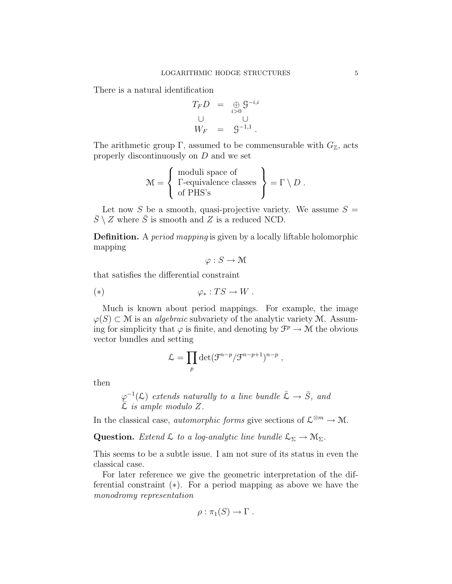There is a natural identification

$$
T_F D = \bigoplus_{i>0} \mathcal{G}^{-i,i}
$$
  

$$
\bigcup_{W_F} = \mathcal{G}^{-1,1}.
$$

The arithmetic group Γ, assumed to be commensurable with  $G_{\mathbb{Z}}$ , acts properly discontinuously on D and we set

$$
\mathcal{M} = \left\{ \begin{array}{c} \text{moduli space of} \\ \Gamma\text{-equivalence classes} \\ \text{of PHS's} \end{array} \right\} = \Gamma \setminus D \ .
$$

Let now S be a smooth, quasi-projective variety. We assume  $S =$  $\overline{S} \setminus Z$  where  $\overline{S}$  is smooth and Z is a reduced NCD.

Definition. A period mapping is given by a locally liftable holomorphic mapping

$$
\varphi: S \to \mathcal{M}
$$

that satisfies the differential constraint

$$
(*)\qquad \qquad \varphi_*: TS \to W.
$$

Much is known about period mappings. For example, the image  $\varphi(S) \subset \mathcal{M}$  is an *algebraic* subvariety of the analytic variety M. Assuming for simplicity that  $\varphi$  is finite, and denoting by  $\mathcal{F}^p \to \mathcal{M}$  the obvious vector bundles and setting

$$
\mathcal{L} = \prod_p \det(\mathcal{F}^{n-p}/\mathcal{F}^{n-p+1})^{n-p} ,
$$

then

$$
\varphi^{-1}(\mathcal{L})
$$
 extends naturally to a line bundle  $\bar{\mathcal{L}} \to \bar{S}$ , and  $\bar{\mathcal{L}}$  is ample modulo Z.

In the classical case, *automorphic forms* give sections of  $\mathcal{L}^{\otimes m} \to \mathcal{M}$ .

Question. Extend  $\mathcal L$  to a log-analytic line bundle  $\mathcal L_{\Sigma} \to \mathcal M_{\Sigma}$ .

This seems to be a subtle issue. I am not sure of its status in even the classical case.

For later reference we give the geometric interpretation of the differential constraint (∗). For a period mapping as above we have the monodromy representation

$$
\rho:\pi_1(S)\to \Gamma .
$$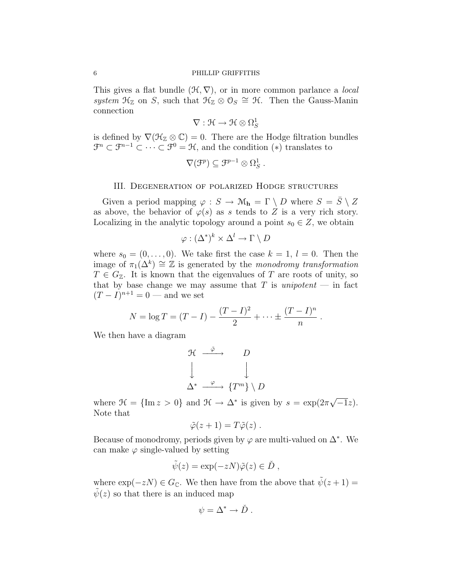This gives a flat bundle  $(\mathcal{H}, \nabla)$ , or in more common parlance a *local* system  $\mathfrak{H}_{\mathbb{Z}}$  on S, such that  $\mathfrak{H}_{\mathbb{Z}} \otimes \mathfrak{O}_S \cong \mathfrak{H}$ . Then the Gauss-Manin connection

 $\nabla : \mathcal{H} \to \mathcal{H} \otimes \Omega^1_S$ 

is defined by  $\nabla(\mathcal{H}_\mathbb{Z}\otimes\mathbb{C})=0$ . There are the Hodge filtration bundles  $\mathfrak{F}^n \subset \mathfrak{F}^{n-1} \subset \cdots \subset \mathfrak{F}^0 = \mathfrak{H}$ , and the condition  $(*)$  translates to

$$
\nabla(\mathcal{F}^p) \subseteq \mathcal{F}^{p-1} \otimes \Omega_S^1.
$$

### III. Degeneration of polarized Hodge structures

Given a period mapping  $\varphi : S \to \mathcal{M}_h = \Gamma \setminus D$  where  $S = \overline{S} \setminus Z$ as above, the behavior of  $\varphi(s)$  as s tends to Z is a very rich story. Localizing in the analytic topology around a point  $s_0 \in Z$ , we obtain

$$
\varphi : (\Delta^*)^k \times \Delta^l \to \Gamma \setminus D
$$

where  $s_0 = (0, \ldots, 0)$ . We take first the case  $k = 1, l = 0$ . Then the image of  $\pi_1(\Delta^k) \cong \mathbb{Z}$  is generated by the monodromy transformation  $T \in G_{\mathbb{Z}}$ . It is known that the eigenvalues of T are roots of unity, so that by base change we may assume that  $T$  is unipotent — in fact  $(T - I)^{n+1} = 0$  — and we set

$$
N = \log T = (T - I) - \frac{(T - I)^2}{2} + \dots \pm \frac{(T - I)^n}{n}.
$$

We then have a diagram

$$
\begin{array}{ccc}\n\mathfrak{H} & \xrightarrow{\tilde{\varphi}} & D \\
\downarrow & & \downarrow \\
\Delta^* & \xrightarrow{\varphi} & \{T^m\} \setminus D\n\end{array}
$$

where  $\mathcal{H} = \{\text{Im } z > 0\}$  and  $\mathcal{H} \to \Delta^*$  is given by  $s = \exp(2\pi \Delta^*)$ √  $\overline{-1}z$ ). Note that

$$
\tilde{\varphi}(z+1)=T\tilde{\varphi}(z)\ .
$$

Because of monodromy, periods given by  $\varphi$  are multi-valued on  $\Delta^*$ . We can make  $\varphi$  single-valued by setting

$$
\tilde{\psi}(z) = \exp(-zN)\tilde{\varphi}(z) \in \tilde{D},
$$

where  $\exp(-zN) \in G_{\mathbb{C}}$ . We then have from the above that  $\tilde{\psi}(z+1) =$  $\psi(z)$  so that there is an induced map

$$
\psi = \Delta^* \to \check{D} .
$$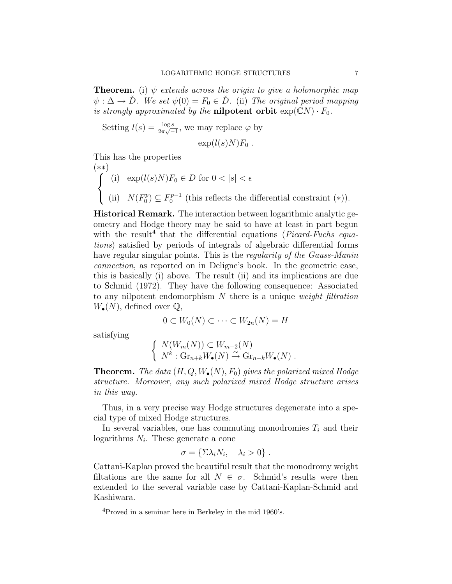**Theorem.** (i)  $\psi$  extends across the origin to give a holomorphic map  $\psi : \Delta \to \check{D}$ . We set  $\psi(0) = F_0 \in \check{D}$ . (ii) The original period mapping is strongly approximated by the **nilpotent orbit**  $exp(CN) \cdot F_0$ .

Setting 
$$
l(s) = \frac{\log s}{2\pi\sqrt{-1}}
$$
, we may replace  $\varphi$  by  $\exp(l(s)N)F_0$ .

This has the properties

$$
(*)
$$
\n
$$
\begin{cases}\n(i) & \exp(l(s)N)F_0 \in D \text{ for } 0 < |s| < \epsilon \\
(ii) & N(F_0^p) \subseteq F_0^{p-1} \text{ (this reflects the differential constraint (*))}.\n\end{cases}
$$

Historical Remark. The interaction between logarithmic analytic geometry and Hodge theory may be said to have at least in part begun with the result<sup>4</sup> that the differential equations (*Picard-Fuchs equa*tions) satisfied by periods of integrals of algebraic differential forms have regular singular points. This is the *regularity of the Gauss-Manin* connection, as reported on in Deligne's book. In the geometric case, this is basically (i) above. The result (ii) and its implications are due to Schmid (1972). They have the following consequence: Associated to any nilpotent endomorphism N there is a unique weight filtration  $W_{\bullet}(N)$ , defined over  $\mathbb{Q}$ ,

$$
0 \subset W_0(N) \subset \cdots \subset W_{2n}(N) = H
$$

satisfying

$$
\begin{cases} N(W_m(N)) \subset W_{m-2}(N) \\ N^k : \mathrm{Gr}_{n+k} W_{\bullet}(N) \stackrel{\sim}{\to} \mathrm{Gr}_{n-k} W_{\bullet}(N) \end{cases}.
$$

**Theorem.** The data  $(H, Q, W_{\bullet}(N), F_0)$  gives the polarized mixed Hodge structure. Moreover, any such polarized mixed Hodge structure arises in this way.

Thus, in a very precise way Hodge structures degenerate into a special type of mixed Hodge structures.

In several variables, one has commuting monodromies  $T_i$  and their logarithms  $N_i$ . These generate a cone

$$
\sigma = \{\Sigma \lambda_i N_i, \quad \lambda_i > 0\} .
$$

Cattani-Kaplan proved the beautiful result that the monodromy weight filtations are the same for all  $N \in \sigma$ . Schmid's results were then extended to the several variable case by Cattani-Kaplan-Schmid and Kashiwara.

 $4P$ roved in a seminar here in Berkeley in the mid 1960's.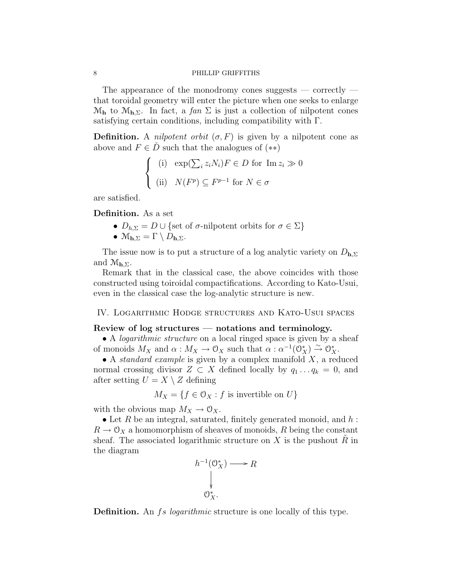The appearance of the monodromy cones suggests  $-$  correctly  $$ that toroidal geometry will enter the picture when one seeks to enlarge  $\mathcal{M}_{h}$  to  $\mathcal{M}_{h,\Sigma}$ . In fact, a fan  $\Sigma$  is just a collection of nilpotent cones satisfying certain conditions, including compatibility with Γ.

**Definition.** A *nilpotent orbit*  $(\sigma, F)$  is given by a nilpotent cone as above and  $F \in \dot{D}$  such that the analogues of  $(**)$ 

$$
\begin{cases} (i) \quad \exp(\sum_{i} z_i N_i) F \in D \text{ for } \text{Im } z_i \gg 0 \\ (ii) \quad N(F^p) \subseteq F^{p-1} \text{ for } N \in \sigma \end{cases}
$$

are satisfied.

Definition. As a set

- $D_{h,\Sigma} = D \cup \{\text{set of } \sigma\text{-nilpotent orbits for } \sigma \in \Sigma\}$
- $\mathcal{M}_{\mathbf{h},\Sigma} = \Gamma \setminus D_{\mathbf{h},\Sigma}.$

The issue now is to put a structure of a log analytic variety on  $D_{h,\Sigma}$ and  $\mathcal{M}_{h,\Sigma}$ .

Remark that in the classical case, the above coincides with those constructed using toiroidal compactifications. According to Kato-Usui, even in the classical case the log-analytic structure is new.

#### IV. Logarithmic Hodge structures and Kato-Usui spaces

#### Review of log structures — notations and terminology.

• A *logarithmic structure* on a local ringed space is given by a sheaf of monoids  $M_X$  and  $\alpha : M_X \to \mathcal{O}_X$  such that  $\alpha : \alpha^{-1}(\mathcal{O}_X^*) \stackrel{\sim}{\to} \mathcal{O}_X^*$ .

• A *standard example* is given by a complex manifold  $X$ , a reduced normal crossing divisor  $Z \subset X$  defined locally by  $q_1 \ldots q_k = 0$ , and after setting  $U = X \setminus Z$  defining

$$
M_X = \{ f \in \mathcal{O}_X : f \text{ is invertible on } U \}
$$

with the obvious map  $M_X \to \mathcal{O}_X$ .

• Let R be an integral, saturated, finitely generated monoid, and  $h$ :  $R \to \mathcal{O}_X$  a homomorphism of sheaves of monoids, R being the constant sheaf. The associated logarithmic structure on  $X$  is the pushout  $R$  in the diagram



Definition. An fs logarithmic structure is one locally of this type.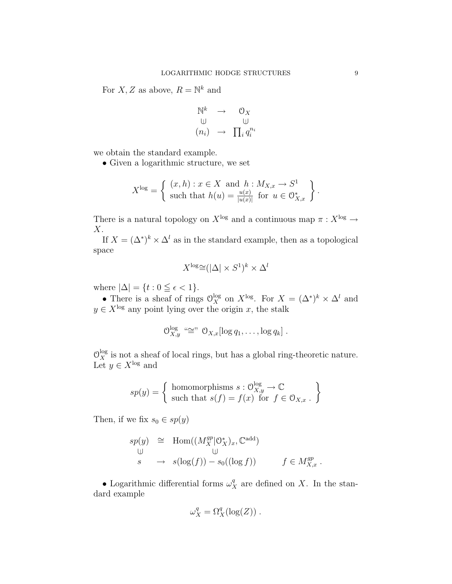For  $X, Z$  as above,  $R = \mathbb{N}^k$  and

$$
\begin{array}{ccc}\n\mathbb{N}^k & \to & \mathbb{O}_X \\
\mathbb{U} & & \mathbb{U} \\
(n_i) & \to & \prod_i q_i^{n_i}\n\end{array}
$$

we obtain the standard example.

• Given a logarithmic structure, we set

$$
X^{\log} = \left\{ \begin{array}{l} (x,h) : x \in X \text{ and } h : M_{X,x} \to S^1 \\ \text{such that } h(u) = \frac{u(x)}{|u(x)|} \text{ for } u \in \mathcal{O}_{X,x}^* \end{array} \right\}.
$$

There is a natural topology on  $X^{\log}$  and a continuous map  $\pi : X^{\log} \to$  $X$ .

If  $X = (\Delta^*)^k \times \Delta^l$  as in the standard example, then as a topological space

$$
X^{\log} \cong (|\Delta| \times S^1)^k \times \Delta^l
$$

where  $|\Delta| = \{t : 0 \leq \epsilon < 1\}.$ 

• There is a sheaf of rings  $\mathcal{O}_X^{\log}$  on  $X^{\log}$ . For  $X = (\Delta^*)^k \times \Delta^l$  and  $y \in X^{\log}$  any point lying over the origin x, the stalk

$$
\mathcal{O}_{X,y}^{\log} \stackrel{\ldots}{\cong} \mathcal{O}_{X,x}[\log q_1,\ldots,\log q_k].
$$

 $\mathcal{O}_X^{\log}$  is not a sheaf of local rings, but has a global ring-theoretic nature. Let  $y \in X^{\log}$  and

$$
sp(y) = \left\{ \begin{array}{c} \text{homomorphisms } s : \mathcal{O}_{X,y}^{\log} \to \mathbb{C} \\ \text{such that } s(f) = f(x) \text{ for } f \in \mathcal{O}_{X,x} \,. \end{array} \right\}
$$

Then, if we fix  $s_0 \in sp(y)$ 

$$
sp(y) \cong \text{Hom}((M_X^{gp} \mid \mathcal{O}_X^*)_x, \mathbb{C}^{\text{add}})
$$
  
\n
$$
\cup \qquad \qquad \cup \qquad \qquad \cup \qquad \qquad \cup \qquad \qquad \vdots
$$
  
\n
$$
s \qquad \to \quad s(\log(f)) - s_0((\log f)) \qquad \qquad f \in M_{X,x}^{gp}.
$$

• Logarithmic differential forms  $\omega_X^q$  are defined on X. In the standard example

$$
\omega_X^q = \Omega_X^q(\log(Z)) \ .
$$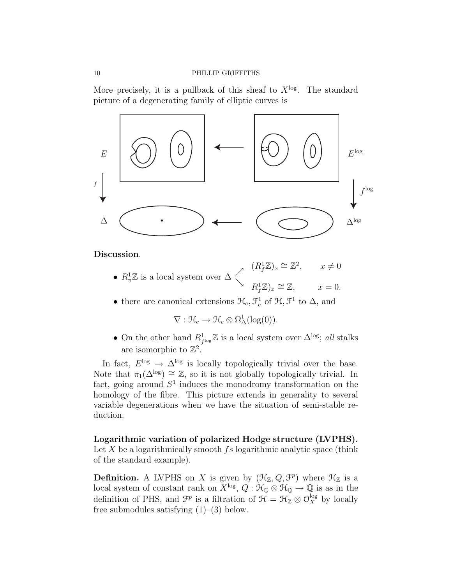More precisely, it is a pullback of this sheaf to  $X^{\log}$ . The standard picture of a degenerating family of elliptic curves is



Discussion.

- $R_{\pi}^1 \mathbb{Z}$  is a local system over  $\Delta \left\langle \right\rangle$  $(R_f^1 \mathbb{Z})_x \cong \mathbb{Z}^2$ ,  $x \neq 0$  $R_f^1 \mathbb{Z}_x \cong \mathbb{Z}, \qquad x = 0.$
- there are canonical extensions  $\mathfrak{H}_e, \mathfrak{F}_e^1$  of  $\mathfrak{H}, \mathfrak{F}^1$  to  $\Delta$ , and

 $\nabla : \mathcal{H}_e \to \mathcal{H}_e \otimes \Omega^1_{\Delta}(\log(0)).$ 

• On the other hand  $R_{f^{\log}}^1 \mathbb{Z}$  is a local system over  $\Delta^{\log}$ ; all stalks are isomorphic to  $\mathbb{Z}^2$ .

In fact,  $E^{\log} \to \Delta^{\log}$  is locally topologically trivial over the base. Note that  $\pi_1(\Delta^{\log}) \cong \mathbb{Z}$ , so it is not globally topologically trivial. In fact, going around  $S<sup>1</sup>$  induces the monodromy transformation on the homology of the fibre. This picture extends in generality to several variable degenerations when we have the situation of semi-stable reduction.

# Logarithmic variation of polarized Hodge structure (LVPHS).

Let  $X$  be a logarithmically smooth  $fs$  logarithmic analytic space (think of the standard example).

**Definition.** A LVPHS on X is given by  $(\mathcal{H}_{\mathbb{Z}}, Q, \mathcal{F}^p)$  where  $\mathcal{H}_{\mathbb{Z}}$  is a local system of constant rank on  $X^{\log}$ ,  $Q: \mathcal{H}_{\mathbb{Q}} \otimes \mathcal{H}_{\mathbb{Q}} \to \mathbb{Q}$  is as in the definition of PHS, and  $\mathcal{F}^p$  is a filtration of  $\mathcal{H} = \mathcal{H}_{\mathbb{Z}} \otimes \mathcal{O}_X^{\log}$  by locally free submodules satisfying  $(1)$ – $(3)$  below.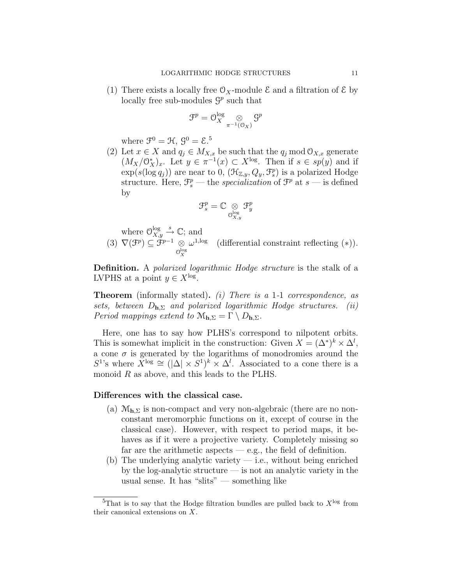(1) There exists a locally free  $\mathcal{O}_X$ -module  $\mathcal E$  and a filtration of  $\mathcal E$  by locally free sub-modules  $\mathcal{G}^p$  such that

$$
\mathfrak{F}^p=\mathcal{O}_X^{\log}\underset{\pi^{-1}(\mathfrak{O}_X)}{\otimes}\mathfrak{S}^p
$$

where  $\mathfrak{F}^0 = \mathfrak{H}, \, \mathfrak{G}^0 = \mathfrak{E}.^5$ 

(2) Let  $x \in X$  and  $q_j \in M_{X,x}$  be such that the  $q_j \mod \mathcal{O}_{X,x}$  generate  $(M_X/\mathbb{O}_X^*)_x$ . Let  $y \in \pi^{-1}(x) \subset X^{\log}$ . Then if  $s \in sp(y)$  and if  $\exp(s(\log q_j))$  are near to 0,  $(\mathcal{H}_{\mathbb{Z},y}, Q_y, \mathcal{F}_{s}^p)$  is a polarized Hodge structure. Here,  $\mathcal{F}_{s}^{p}$  — the *specialization* of  $\mathcal{F}^{p}$  at  $s$  — is defined by

$$
\mathfrak{F}^p_s = \mathbb{C} \underset{\mathcal{O}_{X,y}^{\log}}{\otimes} \mathfrak{F}^p_y
$$

where  $\mathcal{O}_{X,\mathfrak{g}}^{\log}$  $\frac{\log x}{X,y} \stackrel{s}{\rightarrow} \mathbb{C}$ ; and  $(3)$   $\nabla (\mathcal{F}^p) \subseteq \mathcal{F}^{p-1}$  ⊗  $\mathcal{O}_X^{\log}$  $\omega^{1, \text{log}}$  (differential constraint reflecting (\*)).

Definition. A *polarized logarithmic Hodge structure* is the stalk of a LVPHS at a point  $y \in X^{\log}$ .

Theorem (informally stated). (i) There is a 1-1 correspondence, as sets, between  $D_{h,\Sigma}$  and polarized logarithmic Hodge structures. (ii) Period mappings extend to  $\mathcal{M}_{h,\Sigma} = \Gamma \setminus D_{h,\Sigma}$ .

Here, one has to say how PLHS's correspond to nilpotent orbits. This is somewhat implicit in the construction: Given  $X = (\Delta^*)^k \times \Delta^l$ , a cone  $\sigma$  is generated by the logarithms of monodromies around the  $S^1$ 's where  $\check{X}^{\log} \cong (|\Delta| \times S^1)^k \times \Delta^l$ . Associated to a cone there is a monoid R as above, and this leads to the PLHS.

### Differences with the classical case.

- (a)  $\mathcal{M}_{h,\Sigma}$  is non-compact and very non-algebraic (there are no nonconstant meromorphic functions on it, except of course in the classical case). However, with respect to period maps, it behaves as if it were a projective variety. Completely missing so far are the arithmetic aspects  $-$  e.g., the field of definition.
- (b) The underlying analytic variety  $-$  i.e., without being enriched by the log-analytic structure — is not an analytic variety in the usual sense. It has "slits" — something like

<sup>&</sup>lt;sup>5</sup>That is to say that the Hodge filtration bundles are pulled back to  $X^{\log}$  from their canonical extensions on X.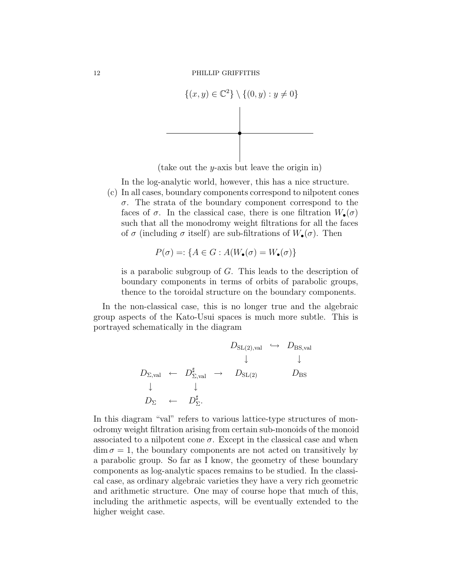

(take out the y-axis but leave the origin in)

In the log-analytic world, however, this has a nice structure.

(c) In all cases, boundary components correspond to nilpotent cones  $\sigma$ . The strata of the boundary component correspond to the faces of  $\sigma$ . In the classical case, there is one filtration  $W_{\bullet}(\sigma)$ such that all the monodromy weight filtrations for all the faces of  $\sigma$  (including  $\sigma$  itself) are sub-filtrations of  $W_{\bullet}(\sigma)$ . Then

$$
P(\sigma) =: \{ A \in G : A(W_{\bullet}(\sigma) = W_{\bullet}(\sigma) \}
$$

is a parabolic subgroup of G. This leads to the description of boundary components in terms of orbits of parabolic groups, thence to the toroidal structure on the boundary components.

In the non-classical case, this is no longer true and the algebraic group aspects of the Kato-Usui spaces is much more subtle. This is portrayed schematically in the diagram

$$
D_{\text{SL}(2),\text{val}} \hookrightarrow D_{\text{BS},\text{val}}^{\text{B}} \\
D_{\Sigma,\text{val}} \leftarrow D_{\Sigma,\text{val}}^{\sharp} \rightarrow D_{\text{SL}(2)} \qquad D_{\text{BS}} \\
\downarrow \qquad \downarrow \\
D_{\Sigma} \leftarrow D_{\Sigma}^{\sharp}.
$$

In this diagram "val" refers to various lattice-type structures of monodromy weight filtration arising from certain sub-monoids of the monoid associated to a nilpotent cone  $\sigma$ . Except in the classical case and when  $\dim \sigma = 1$ , the boundary components are not acted on transitively by a parabolic group. So far as I know, the geometry of these boundary components as log-analytic spaces remains to be studied. In the classical case, as ordinary algebraic varieties they have a very rich geometric and arithmetic structure. One may of course hope that much of this, including the arithmetic aspects, will be eventually extended to the higher weight case.